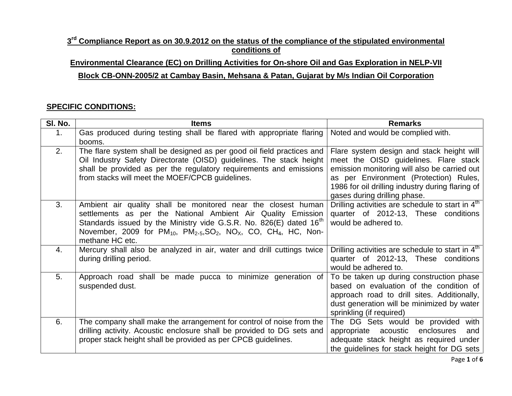## $3<sup>rd</sup>$  Compliance Report as on 30.9.2012 on the status of the compliance of the stipulated environmental **conditions of**

## **Environmental Clearance (EC) on Drilling Activities for On-shore Oil and Gas Exploration in NELP-VII Block CB-ONN-2005/2 at Cambay Basin, Mehsana & Patan, Gujarat by M/s Indian Oil Corporation**

## **SPECIFIC CONDITIONS:**

| SI. No.        | <b>Items</b>                                                                                                                                                                                                                                                                                                                  | <b>Remarks</b>                                                                                                                                                                                                                                                   |
|----------------|-------------------------------------------------------------------------------------------------------------------------------------------------------------------------------------------------------------------------------------------------------------------------------------------------------------------------------|------------------------------------------------------------------------------------------------------------------------------------------------------------------------------------------------------------------------------------------------------------------|
| 1 <sub>1</sub> | Gas produced during testing shall be flared with appropriate flaring                                                                                                                                                                                                                                                          | Noted and would be complied with.                                                                                                                                                                                                                                |
|                | booms.                                                                                                                                                                                                                                                                                                                        |                                                                                                                                                                                                                                                                  |
| 2.             | The flare system shall be designed as per good oil field practices and<br>Oil Industry Safety Directorate (OISD) guidelines. The stack height<br>shall be provided as per the regulatory requirements and emissions<br>from stacks will meet the MOEF/CPCB guidelines.                                                        | Flare system design and stack height will<br>meet the OISD guidelines. Flare stack<br>emission monitoring will also be carried out<br>as per Environment (Protection) Rules,<br>1986 for oil drilling industry during flaring of<br>gases during drilling phase. |
| 3.             | Ambient air quality shall be monitored near the closest human<br>settlements as per the National Ambient Air Quality Emission<br>Standards issued by the Ministry vide G.S.R. No. 826(E) dated 16 <sup>th</sup><br>November, 2009 for $PM_{10}$ , $PM_{2.5}SO_2$ , $NO_X$ , CO, CH <sub>4</sub> , HC, Non-<br>methane HC etc. | Drilling activities are schedule to start in 4 <sup>th</sup><br>quarter of 2012-13, These conditions<br>would be adhered to.                                                                                                                                     |
| 4.             | Mercury shall also be analyzed in air, water and drill cuttings twice<br>during drilling period.                                                                                                                                                                                                                              | Drilling activities are schedule to start in 4th<br>quarter of 2012-13, These conditions<br>would be adhered to.                                                                                                                                                 |
| 5.             | Approach road shall be made pucca to minimize generation of<br>suspended dust.                                                                                                                                                                                                                                                | To be taken up during construction phase<br>based on evaluation of the condition of<br>approach road to drill sites. Additionally,<br>dust generation will be minimized by water<br>sprinkling (if required)                                                     |
| 6.             | The company shall make the arrangement for control of noise from the<br>drilling activity. Acoustic enclosure shall be provided to DG sets and<br>proper stack height shall be provided as per CPCB guidelines.                                                                                                               | The DG Sets would be provided<br>with<br>acoustic<br>enclosures<br>appropriate<br>and<br>adequate stack height as required under<br>the guidelines for stack height for DG sets                                                                                  |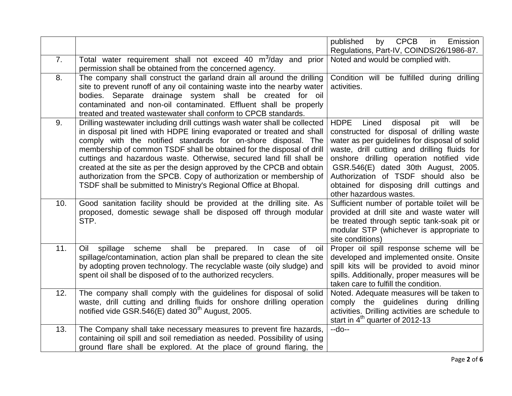|     |                                                                                                                                                                                                                                                                                                                                                                                                                                                                                                                                                                                           | <b>CPCB</b><br>published<br>Emission<br>by<br>in                                                                                                                                                                                                                                                                                                                                                        |
|-----|-------------------------------------------------------------------------------------------------------------------------------------------------------------------------------------------------------------------------------------------------------------------------------------------------------------------------------------------------------------------------------------------------------------------------------------------------------------------------------------------------------------------------------------------------------------------------------------------|---------------------------------------------------------------------------------------------------------------------------------------------------------------------------------------------------------------------------------------------------------------------------------------------------------------------------------------------------------------------------------------------------------|
|     |                                                                                                                                                                                                                                                                                                                                                                                                                                                                                                                                                                                           | Regulations, Part-IV, COINDS/26/1986-87.                                                                                                                                                                                                                                                                                                                                                                |
| 7.  | Total water requirement shall not exceed 40 m <sup>3</sup> /day and prior<br>permission shall be obtained from the concerned agency.                                                                                                                                                                                                                                                                                                                                                                                                                                                      | Noted and would be complied with.                                                                                                                                                                                                                                                                                                                                                                       |
| 8.  | The company shall construct the garland drain all around the drilling<br>site to prevent runoff of any oil containing waste into the nearby water<br>bodies. Separate drainage system shall be created for oil<br>contaminated and non-oil contaminated. Effluent shall be properly<br>treated and treated wastewater shall conform to CPCB standards.                                                                                                                                                                                                                                    | Condition will be fulfilled during drilling<br>activities.                                                                                                                                                                                                                                                                                                                                              |
| 9.  | Drilling wastewater including drill cuttings wash water shall be collected<br>in disposal pit lined with HDPE lining evaporated or treated and shall<br>comply with the notified standards for on-shore disposal. The<br>membership of common TSDF shall be obtained for the disposal of drill<br>cuttings and hazardous waste. Otherwise, secured land fill shall be<br>created at the site as per the design approved by the CPCB and obtain<br>authorization from the SPCB. Copy of authorization or membership of<br>TSDF shall be submitted to Ministry's Regional Office at Bhopal. | <b>HDPE</b><br>Lined<br>disposal<br>pit<br>will<br>be<br>constructed for disposal of drilling waste<br>water as per guidelines for disposal of solid<br>waste, drill cutting and drilling fluids for<br>onshore drilling operation notified vide<br>GSR.546(E) dated 30th August, 2005.<br>Authorization of TSDF should also be<br>obtained for disposing drill cuttings and<br>other hazardous wastes. |
| 10. | Good sanitation facility should be provided at the drilling site. As<br>proposed, domestic sewage shall be disposed off through modular<br>STP.                                                                                                                                                                                                                                                                                                                                                                                                                                           | Sufficient number of portable toilet will be<br>provided at drill site and waste water will<br>be treated through septic tank-soak pit or<br>modular STP (whichever is appropriate to<br>site conditions)                                                                                                                                                                                               |
| 11. | scheme<br>shall<br>prepared.<br>Oil<br>spillage<br>be<br>0f<br>In<br>case<br>oil<br>spillage/contamination, action plan shall be prepared to clean the site<br>by adopting proven technology. The recyclable waste (oily sludge) and<br>spent oil shall be disposed of to the authorized recyclers.                                                                                                                                                                                                                                                                                       | Proper oil spill response scheme will be<br>developed and implemented onsite. Onsite<br>spill kits will be provided to avoid minor<br>spills. Additionally, proper measures will be<br>taken care to fulfill the condition.                                                                                                                                                                             |
| 12. | The company shall comply with the guidelines for disposal of solid<br>waste, drill cutting and drilling fluids for onshore drilling operation<br>notified vide GSR.546(E) dated 30 <sup>th</sup> August, 2005.                                                                                                                                                                                                                                                                                                                                                                            | Noted. Adequate measures will be taken to<br>comply the guidelines during drilling<br>activities. Drilling activities are schedule to<br>start in 4 <sup>th</sup> quarter of 2012-13                                                                                                                                                                                                                    |
| 13. | The Company shall take necessary measures to prevent fire hazards,<br>containing oil spill and soil remediation as needed. Possibility of using<br>ground flare shall be explored. At the place of ground flaring, the                                                                                                                                                                                                                                                                                                                                                                    | --do--                                                                                                                                                                                                                                                                                                                                                                                                  |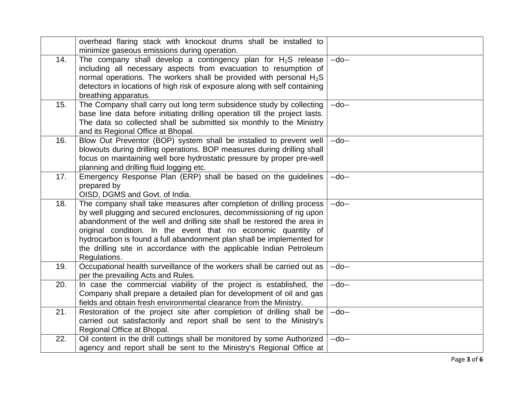|     | overhead flaring stack with knockout drums shall be installed to<br>minimize gaseous emissions during operation.                                                                                                                                                                                                                                                                                                                                          |        |
|-----|-----------------------------------------------------------------------------------------------------------------------------------------------------------------------------------------------------------------------------------------------------------------------------------------------------------------------------------------------------------------------------------------------------------------------------------------------------------|--------|
| 14. | The company shall develop a contingency plan for $H_2S$ release<br>including all necessary aspects from evacuation to resumption of<br>normal operations. The workers shall be provided with personal $H_2S$<br>detectors in locations of high risk of exposure along with self containing<br>breathing apparatus.                                                                                                                                        | $-do-$ |
| 15. | The Company shall carry out long term subsidence study by collecting<br>base line data before initiating drilling operation till the project lasts.<br>The data so collected shall be submitted six monthly to the Ministry<br>and its Regional Office at Bhopal.                                                                                                                                                                                         | $-do-$ |
| 16. | Blow Out Preventor (BOP) system shall be installed to prevent well<br>blowouts during drilling operations. BOP measures during drilling shall<br>focus on maintaining well bore hydrostatic pressure by proper pre-well<br>planning and drilling fluid logging etc.                                                                                                                                                                                       | $-do-$ |
| 17. | Emergency Response Plan (ERP) shall be based on the guidelines<br>prepared by<br>OISD, DGMS and Govt. of India.                                                                                                                                                                                                                                                                                                                                           | $-do-$ |
| 18. | The company shall take measures after completion of drilling process<br>by well plugging and secured enclosures, decommissioning of rig upon<br>abandonment of the well and drilling site shall be restored the area in<br>original condition. In the event that no economic quantity of<br>hydrocarbon is found a full abandonment plan shall be implemented for<br>the drilling site in accordance with the applicable Indian Petroleum<br>Regulations. | $-do-$ |
| 19. | Occupational health surveillance of the workers shall be carried out as<br>per the prevailing Acts and Rules.                                                                                                                                                                                                                                                                                                                                             | $-do-$ |
| 20. | In case the commercial viability of the project is established, the<br>Company shall prepare a detailed plan for development of oil and gas<br>fields and obtain fresh environmental clearance from the Ministry.                                                                                                                                                                                                                                         | $-do-$ |
| 21. | Restoration of the project site after completion of drilling shall be<br>carried out satisfactorily and report shall be sent to the Ministry's<br>Regional Office at Bhopal.                                                                                                                                                                                                                                                                              | $-do-$ |
| 22. | Oil content in the drill cuttings shall be monitored by some Authorized<br>agency and report shall be sent to the Ministry's Regional Office at                                                                                                                                                                                                                                                                                                           | $-do-$ |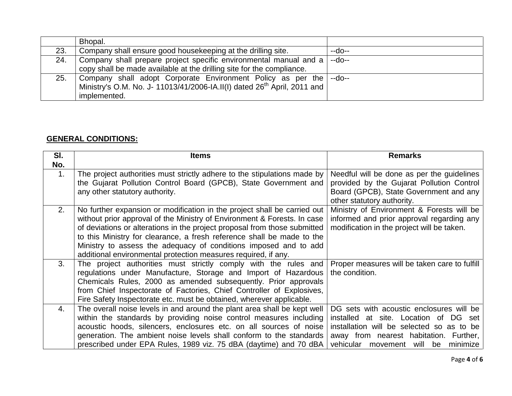|     | Bhopal.                                                                              |        |
|-----|--------------------------------------------------------------------------------------|--------|
| 23. | Company shall ensure good housekeeping at the drilling site.                         | --do-- |
| 24. | Company shall prepare project specific environmental manual and a                    | $-do-$ |
|     | copy shall be made available at the drilling site for the compliance.                |        |
| 25. | Company shall adopt Corporate Environment Policy as per the --do--                   |        |
|     | Ministry's O.M. No. J- 11013/41/2006-IA.II(I) dated 26 <sup>th</sup> April, 2011 and |        |
|     | implemented.                                                                         |        |

## **GENERAL CONDITIONS:**

| SI.<br>No.     | <b>Items</b>                                                                                                                                                                                                                                                                                                                                                                                                                                      | <b>Remarks</b>                                                                                                                                                                                                     |
|----------------|---------------------------------------------------------------------------------------------------------------------------------------------------------------------------------------------------------------------------------------------------------------------------------------------------------------------------------------------------------------------------------------------------------------------------------------------------|--------------------------------------------------------------------------------------------------------------------------------------------------------------------------------------------------------------------|
| $\mathbf{1}$ . | The project authorities must strictly adhere to the stipulations made by<br>the Gujarat Pollution Control Board (GPCB), State Government and<br>any other statutory authority.                                                                                                                                                                                                                                                                    | Needful will be done as per the guidelines<br>provided by the Gujarat Pollution Control<br>Board (GPCB), State Government and any<br>other statutory authority.                                                    |
| 2.             | No further expansion or modification in the project shall be carried out<br>without prior approval of the Ministry of Environment & Forests. In case<br>of deviations or alterations in the project proposal from those submitted<br>to this Ministry for clearance, a fresh reference shall be made to the<br>Ministry to assess the adequacy of conditions imposed and to add<br>additional environmental protection measures required, if any. | Ministry of Environment & Forests will be<br>informed and prior approval regarding any<br>modification in the project will be taken.                                                                               |
| 3.             | The project authorities must strictly comply with the rules and<br>regulations under Manufacture, Storage and Import of Hazardous<br>Chemicals Rules, 2000 as amended subsequently. Prior approvals<br>from Chief Inspectorate of Factories, Chief Controller of Explosives,<br>Fire Safety Inspectorate etc. must be obtained, wherever applicable.                                                                                              | Proper measures will be taken care to fulfill<br>the condition.                                                                                                                                                    |
| 4.             | The overall noise levels in and around the plant area shall be kept well<br>within the standards by providing noise control measures including<br>acoustic hoods, silencers, enclosures etc. on all sources of noise<br>generation. The ambient noise levels shall conform to the standards<br>prescribed under EPA Rules, 1989 viz. 75 dBA (daytime) and 70 dBA                                                                                  | DG sets with acoustic enclosures will be<br>installed at site. Location of DG set<br>installation will be selected so as to be<br>away from nearest habitation. Further,<br>vehicular movement will be<br>minimize |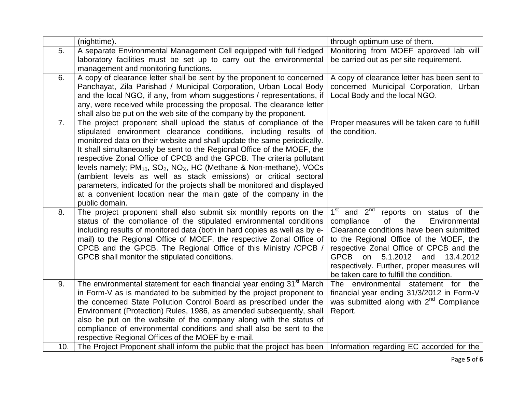|     | (nighttime).                                                                                                                                      | through optimum use of them.                        |
|-----|---------------------------------------------------------------------------------------------------------------------------------------------------|-----------------------------------------------------|
| 5.  | A separate Environmental Management Cell equipped with full fledged                                                                               | Monitoring from MOEF approved lab will              |
|     | laboratory facilities must be set up to carry out the environmental                                                                               | be carried out as per site requirement.             |
|     | management and monitoring functions.                                                                                                              |                                                     |
| 6.  | A copy of clearance letter shall be sent by the proponent to concerned                                                                            | A copy of clearance letter has been sent to         |
|     | Panchayat, Zila Parishad / Municipal Corporation, Urban Local Body                                                                                | concerned Municipal Corporation, Urban              |
|     | and the local NGO, if any, from whom suggestions / representations, if                                                                            | Local Body and the local NGO.                       |
|     | any, were received while processing the proposal. The clearance letter                                                                            |                                                     |
|     | shall also be put on the web site of the company by the proponent.                                                                                |                                                     |
| 7.  | The project proponent shall upload the status of compliance of the                                                                                | Proper measures will be taken care to fulfill       |
|     | stipulated environment clearance conditions, including results of                                                                                 | the condition.                                      |
|     | monitored data on their website and shall update the same periodically.                                                                           |                                                     |
|     | It shall simultaneously be sent to the Regional Office of the MOEF, the                                                                           |                                                     |
|     | respective Zonal Office of CPCB and the GPCB. The criteria pollutant                                                                              |                                                     |
|     | levels namely; $PM_{10}$ , $SO_2$ , $NO_X$ , HC (Methane & Non-methane), VOCs<br>(ambient levels as well as stack emissions) or critical sectoral |                                                     |
|     | parameters, indicated for the projects shall be monitored and displayed                                                                           |                                                     |
|     | at a convenient location near the main gate of the company in the                                                                                 |                                                     |
|     | public domain.                                                                                                                                    |                                                     |
| 8.  | The project proponent shall also submit six monthly reports on the                                                                                | $1st$ and $2nd$<br>reports on status of the         |
|     | status of the compliance of the stipulated environmental conditions                                                                               | of<br>the<br>compliance<br>Environmental            |
|     | including results of monitored data (both in hard copies as well as by e-                                                                         | Clearance conditions have been submitted            |
|     | mail) to the Regional Office of MOEF, the respective Zonal Office of                                                                              | to the Regional Office of the MOEF, the             |
|     | CPCB and the GPCB. The Regional Office of this Ministry /CPCB /                                                                                   | respective Zonal Office of CPCB and the             |
|     | GPCB shall monitor the stipulated conditions.                                                                                                     | 5.1.2012<br><b>GPCB</b><br>and<br>13.4.2012<br>on   |
|     |                                                                                                                                                   | respectively. Further, proper measures will         |
|     |                                                                                                                                                   | be taken care to fulfill the condition.             |
| 9.  | The environmental statement for each financial year ending 31 <sup>st</sup> March                                                                 | The environmental statement for the                 |
|     | in Form-V as is mandated to be submitted by the project proponent to                                                                              | financial year ending 31/3/2012 in Form-V           |
|     | the concerned State Pollution Control Board as prescribed under the                                                                               | was submitted along with 2 <sup>nd</sup> Compliance |
|     | Environment (Protection) Rules, 1986, as amended subsequently, shall                                                                              | Report.                                             |
|     | also be put on the website of the company along with the status of                                                                                |                                                     |
|     | compliance of environmental conditions and shall also be sent to the                                                                              |                                                     |
|     | respective Regional Offices of the MOEF by e-mail.                                                                                                |                                                     |
| 10. | The Project Proponent shall inform the public that the project has been                                                                           | Information regarding EC accorded for the           |